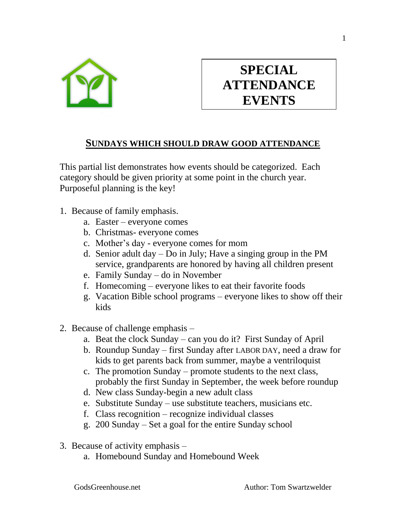

## **SPECIAL ATTENDANCE EVENTS**

## **SUNDAYS WHICH SHOULD DRAW GOOD ATTENDANCE**

This partial list demonstrates how events should be categorized. Each category should be given priority at some point in the church year. Purposeful planning is the key!

- 1. Because of family emphasis.
	- a. Easter everyone comes
	- b. Christmas- everyone comes
	- c. Mother's day everyone comes for mom
	- d. Senior adult day Do in July; Have a singing group in the PM service, grandparents are honored by having all children present
	- e. Family Sunday do in November
	- f. Homecoming everyone likes to eat their favorite foods
	- g. Vacation Bible school programs everyone likes to show off their kids
- 2. Because of challenge emphasis
	- a. Beat the clock Sunday can you do it? First Sunday of April
	- b. Roundup Sunday first Sunday after LABOR DAY, need a draw for kids to get parents back from summer, maybe a ventriloquist
	- c. The promotion Sunday promote students to the next class, probably the first Sunday in September, the week before roundup
	- d. New class Sunday-begin a new adult class
	- e. Substitute Sunday use substitute teachers, musicians etc.
	- f. Class recognition recognize individual classes
	- g. 200 Sunday Set a goal for the entire Sunday school
- 3. Because of activity emphasis
	- a. Homebound Sunday and Homebound Week